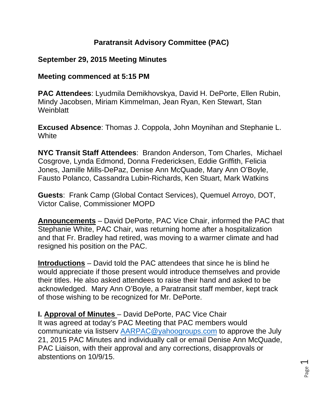## **Paratransit Advisory Committee (PAC)**

### **September 29, 2015 Meeting Minutes**

#### **Meeting commenced at 5:15 PM**

**PAC Attendees**: Lyudmila Demikhovskya, David H. DePorte, Ellen Rubin, Mindy Jacobsen, Miriam Kimmelman, Jean Ryan, Ken Stewart, Stan **Weinblatt** 

**Excused Absence**: Thomas J. Coppola, John Moynihan and Stephanie L. **White** 

**NYC Transit Staff Attendees**: Brandon Anderson, Tom Charles, Michael Cosgrove, Lynda Edmond, Donna Fredericksen, Eddie Griffith, Felicia Jones, Jamille Mills-DePaz, Denise Ann McQuade, Mary Ann O'Boyle, Fausto Polanco, Cassandra Lubin-Richards, Ken Stuart, Mark Watkins

**Guests**: Frank Camp (Global Contact Services), Quemuel Arroyo, DOT, Victor Calise, Commissioner MOPD

**Announcements** – David DePorte, PAC Vice Chair, informed the PAC that Stephanie White, PAC Chair, was returning home after a hospitalization and that Fr. Bradley had retired, was moving to a warmer climate and had resigned his position on the PAC.

**Introductions** – David told the PAC attendees that since he is blind he would appreciate if those present would introduce themselves and provide their titles. He also asked attendees to raise their hand and asked to be acknowledged. Mary Ann O'Boyle, a Paratransit staff member, kept track of those wishing to be recognized for Mr. DePorte.

**I. Approval of Minutes** – David DePorte, PAC Vice Chair It was agreed at today's PAC Meeting that PAC members would communicate via listserv AARPAC@yahoogroups.com to approve the July 21, 2015 PAC Minutes and individually call or email Denise Ann McQuade, PAC Liaison, with their approval and any corrections, disapprovals or abstentions on 10/9/15.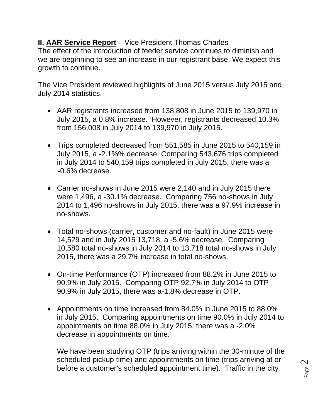**II. AAR Service Report** – Vice President Thomas Charles The effect of the introduction of feeder service continues to diminish and we are beginning to see an increase in our registrant base. We expect this growth to continue.

The Vice President reviewed highlights of June 2015 versus July 2015 and July 2014 statistics.

- AAR registrants increased from 138,808 in June 2015 to 139,970 in July 2015, a 0.8% increase. However, registrants decreased 10.3% from 156,008 in July 2014 to 139,970 in July 2015.
- Trips completed decreased from 551,585 in June 2015 to 540,159 in July 2015, a -2.1%% decrease. Comparing 543,676 trips completed in July 2014 to 540,159 trips completed in July 2015, there was a -0.6% decrease.
- Carrier no-shows in June 2015 were 2,140 and in July 2015 there were 1,496, a -30.1% decrease. Comparing 756 no-shows in July 2014 to 1,496 no-shows in July 2015, there was a 97.9% increase in no-shows.
- Total no-shows (carrier, customer and no-fault) in June 2015 were 14,529 and in July 2015 13,718, a -5.6% decrease. Comparing 10,580 total no-shows in July 2014 to 13,718 total no-shows in July 2015, there was a 29.7% increase in total no-shows.
- On-time Performance (OTP) increased from 88.2% in June 2015 to 90.9% in July 2015. Comparing OTP 92.7% in July 2014 to OTP 90.9% in July 2015, there was a-1.8% decrease in OTP.
- Appointments on time increased from 84.0% in June 2015 to 88.0% in July 2015. Comparing appointments on time 90.0% in July 2014 to appointments on time 88.0% in July 2015, there was a -2.0% decrease in appointments on time.

We have been studying OTP (trips arriving within the 30-minute of the scheduled pickup time) and appointments on time (trips arriving at or before a customer's scheduled appointment time). Traffic in the city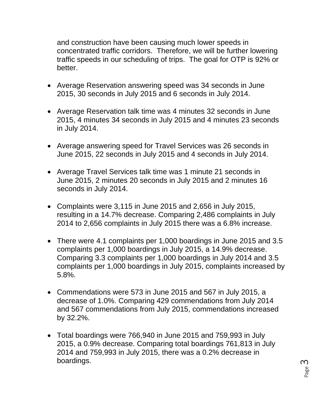and construction have been causing much lower speeds in concentrated traffic corridors. Therefore, we will be further lowering traffic speeds in our scheduling of trips. The goal for OTP is 92% or better.

- Average Reservation answering speed was 34 seconds in June 2015, 30 seconds in July 2015 and 6 seconds in July 2014.
- Average Reservation talk time was 4 minutes 32 seconds in June 2015, 4 minutes 34 seconds in July 2015 and 4 minutes 23 seconds in July 2014.
- Average answering speed for Travel Services was 26 seconds in June 2015, 22 seconds in July 2015 and 4 seconds in July 2014.
- Average Travel Services talk time was 1 minute 21 seconds in June 2015, 2 minutes 20 seconds in July 2015 and 2 minutes 16 seconds in July 2014.
- Complaints were 3,115 in June 2015 and 2,656 in July 2015, resulting in a 14.7% decrease. Comparing 2,486 complaints in July 2014 to 2,656 complaints in July 2015 there was a 6.8% increase.
- There were 4.1 complaints per 1,000 boardings in June 2015 and 3.5 complaints per 1,000 boardings in July 2015, a 14.9% decrease. Comparing 3.3 complaints per 1,000 boardings in July 2014 and 3.5 complaints per 1,000 boardings in July 2015, complaints increased by 5.8%.
- Commendations were 573 in June 2015 and 567 in July 2015, a decrease of 1.0%. Comparing 429 commendations from July 2014 and 567 commendations from July 2015, commendations increased by 32.2%.
- Total boardings were 766,940 in June 2015 and 759,993 in July 2015, a 0.9% decrease. Comparing total boardings 761,813 in July 2014 and 759,993 in July 2015, there was a 0.2% decrease in boardings.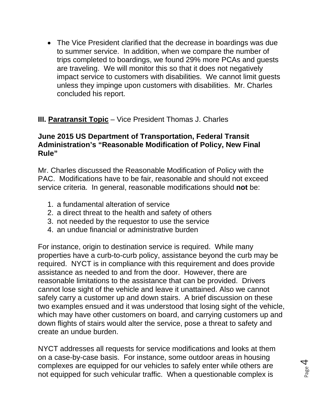The Vice President clarified that the decrease in boardings was due to summer service. In addition, when we compare the number of trips completed to boardings, we found 29% more PCAs and guests are traveling. We will monitor this so that it does not negatively impact service to customers with disabilities. We cannot limit guests unless they impinge upon customers with disabilities. Mr. Charles concluded his report.

## **III. Paratransit Topic** – Vice President Thomas J. Charles

#### **June 2015 US Department of Transportation, Federal Transit Administration's "Reasonable Modification of Policy, New Final Rule"**

Mr. Charles discussed the Reasonable Modification of Policy with the PAC. Modifications have to be fair, reasonable and should not exceed service criteria. In general, reasonable modifications should **not** be:

- 1. a fundamental alteration of service
- 2. a direct threat to the health and safety of others
- 3. not needed by the requestor to use the service
- 4. an undue financial or administrative burden

For instance, origin to destination service is required. While many properties have a curb-to-curb policy, assistance beyond the curb may be required. NYCT is in compliance with this requirement and does provide assistance as needed to and from the door. However, there are reasonable limitations to the assistance that can be provided. Drivers cannot lose sight of the vehicle and leave it unattained. Also we cannot safely carry a customer up and down stairs. A brief discussion on these two examples ensued and it was understood that losing sight of the vehicle, which may have other customers on board, and carrying customers up and down flights of stairs would alter the service, pose a threat to safety and create an undue burden.

NYCT addresses all requests for service modifications and looks at them on a case-by-case basis. For instance, some outdoor areas in housing complexes are equipped for our vehicles to safely enter while others are not equipped for such vehicular traffic. When a questionable complex is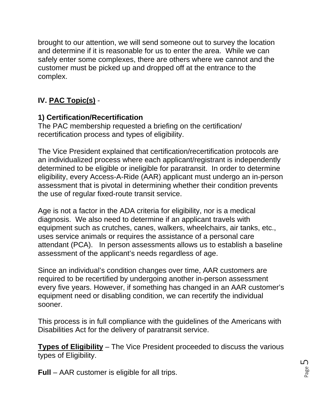brought to our attention, we will send someone out to survey the location and determine if it is reasonable for us to enter the area. While we can safely enter some complexes, there are others where we cannot and the customer must be picked up and dropped off at the entrance to the complex.

# **IV. PAC Topic(s)** -

# **1) Certification/Recertification**

The PAC membership requested a briefing on the certification/ recertification process and types of eligibility.

The Vice President explained that certification/recertification protocols are an individualized process where each applicant/registrant is independently determined to be eligible or ineligible for paratransit. In order to determine eligibility, every Access-A-Ride (AAR) applicant must undergo an in-person assessment that is pivotal in determining whether their condition prevents the use of regular fixed-route transit service.

Age is not a factor in the ADA criteria for eligibility, nor is a medical diagnosis. We also need to determine if an applicant travels with equipment such as crutches, canes, walkers, wheelchairs, air tanks, etc., uses service animals or requires the assistance of a personal care attendant (PCA). In person assessments allows us to establish a baseline assessment of the applicant's needs regardless of age.

Since an individual's condition changes over time, AAR customers are required to be recertified by undergoing another in-person assessment every five years. However, if something has changed in an AAR customer's equipment need or disabling condition, we can recertify the individual sooner.

This process is in full compliance with the guidelines of the Americans with Disabilities Act for the delivery of paratransit service.

**Types of Eligibility** – The Vice President proceeded to discuss the various types of Eligibility.

**Full** – AAR customer is eligible for all trips.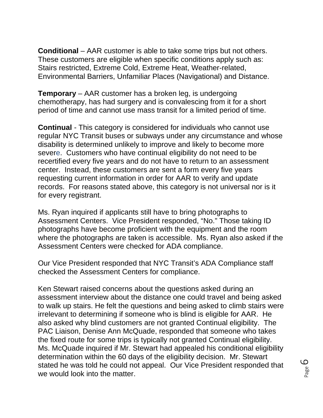**Conditional** – AAR customer is able to take some trips but not others. These customers are eligible when specific conditions apply such as: Stairs restricted, Extreme Cold, Extreme Heat, Weather-related, Environmental Barriers, Unfamiliar Places (Navigational) and Distance.

**Temporary** – AAR customer has a broken leg, is undergoing chemotherapy, has had surgery and is convalescing from it for a short period of time and cannot use mass transit for a limited period of time.

**Continual** - This category is considered for individuals who cannot use regular NYC Transit buses or subways under any circumstance and whose disability is determined unlikely to improve and likely to become more severe. Customers who have continual eligibility do not need to be recertified every five years and do not have to return to an assessment center. Instead, these customers are sent a form every five years requesting current information in order for AAR to verify and update records. For reasons stated above, this category is not universal nor is it for every registrant.

Ms. Ryan inquired if applicants still have to bring photographs to Assessment Centers. Vice President responded, "No." Those taking ID photographs have become proficient with the equipment and the room where the photographs are taken is accessible. Ms. Ryan also asked if the Assessment Centers were checked for ADA compliance.

Our Vice President responded that NYC Transit's ADA Compliance staff checked the Assessment Centers for compliance.

Ken Stewart raised concerns about the questions asked during an assessment interview about the distance one could travel and being asked to walk up stairs. He felt the questions and being asked to climb stairs were irrelevant to determining if someone who is blind is eligible for AAR. He also asked why blind customers are not granted Continual eligibility. The PAC Liaison, Denise Ann McQuade, responded that someone who takes the fixed route for some trips is typically not granted Continual eligibility. Ms. McQuade inquired if Mr. Stewart had appealed his conditional eligibility determination within the 60 days of the eligibility decision. Mr. Stewart stated he was told he could not appeal. Our Vice President responded that we would look into the matter.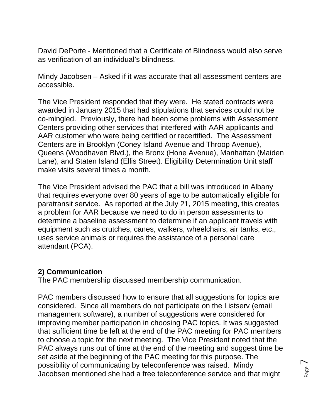David DePorte - Mentioned that a Certificate of Blindness would also serve as verification of an individual's blindness.

Mindy Jacobsen – Asked if it was accurate that all assessment centers are accessible.

The Vice President responded that they were. He stated contracts were awarded in January 2015 that had stipulations that services could not be co-mingled. Previously, there had been some problems with Assessment Centers providing other services that interfered with AAR applicants and AAR customer who were being certified or recertified. The Assessment Centers are in Brooklyn (Coney Island Avenue and Throop Avenue), Queens (Woodhaven Blvd.), the Bronx (Hone Avenue), Manhattan (Maiden Lane), and Staten Island (Ellis Street). Eligibility Determination Unit staff make visits several times a month.

The Vice President advised the PAC that a bill was introduced in Albany that requires everyone over 80 years of age to be automatically eligible for paratransit service. As reported at the July 21, 2015 meeting, this creates a problem for AAR because we need to do in person assessments to determine a baseline assessment to determine if an applicant travels with equipment such as crutches, canes, walkers, wheelchairs, air tanks, etc., uses service animals or requires the assistance of a personal care attendant (PCA).

#### **2) Communication**

The PAC membership discussed membership communication.

PAC members discussed how to ensure that all suggestions for topics are considered. Since all members do not participate on the Listserv (email management software), a number of suggestions were considered for improving member participation in choosing PAC topics. It was suggested that sufficient time be left at the end of the PAC meeting for PAC members to choose a topic for the next meeting. The Vice President noted that the PAC always runs out of time at the end of the meeting and suggest time be set aside at the beginning of the PAC meeting for this purpose. The possibility of communicating by teleconference was raised. Mindy Jacobsen mentioned she had a free teleconference service and that might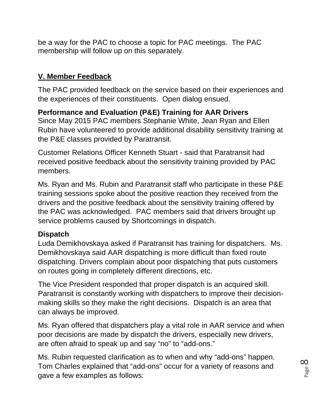be a way for the PAC to choose a topic for PAC meetings. The PAC membership will follow up on this separately.

## **V. Member Feedback**

The PAC provided feedback on the service based on their experiences and the experiences of their constituents. Open dialog ensued.

# **Performance and Evaluation (P&E) Training for AAR Drivers**

Since May 2015 PAC members Stephanie White, Jean Ryan and Ellen Rubin have volunteered to provide additional disability sensitivity training at the P&E classes provided by Paratransit.

Customer Relations Officer Kenneth Stuart - said that Paratransit had received positive feedback about the sensitivity training provided by PAC members.

Ms. Ryan and Ms. Rubin and Paratransit staff who participate in these P&E training sessions spoke about the positive reaction they received from the drivers and the positive feedback about the sensitivity training offered by the PAC was acknowledged. PAC members said that drivers brought up service problems caused by Shortcomings in dispatch.

## **Dispatch**

Luda Demikhovskaya asked if Paratransit has training for dispatchers. Ms. Demikhovskaya said AAR dispatching is more difficult than fixed route dispatching. Drivers complain about poor dispatching that puts customers on routes going in completely different directions, etc.

The Vice President responded that proper dispatch is an acquired skill. Paratransit is constantly working with dispatchers to improve their decisionmaking skills so they make the right decisions. Dispatch is an area that can always be improved.

Ms. Ryan offered that dispatchers play a vital role in AAR service and when poor decisions are made by dispatch the drivers, especially new drivers, are often afraid to speak up and say "no" to "add-ons."

Ms. Rubin requested clarification as to when and why "add-ons" happen. Tom Charles explained that "add-ons" occur for a variety of reasons and gave a few examples as follows: